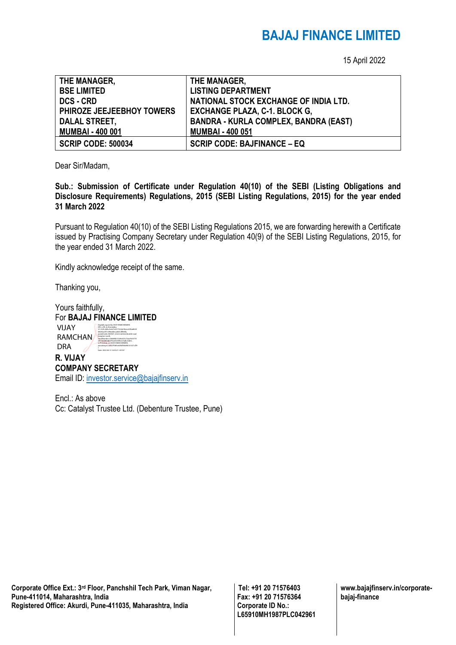## **BAJAJ FINANCE LIMITED**

15 April 2022

| THE MANAGER,              | THE MANAGER,                                 |
|---------------------------|----------------------------------------------|
| <b>BSE LIMITED</b>        | <b>LISTING DEPARTMENT</b>                    |
| <b>DCS - CRD</b>          | NATIONAL STOCK EXCHANGE OF INDIA LTD.        |
| PHIROZE JEEJEEBHOY TOWERS | <b>EXCHANGE PLAZA, C-1. BLOCK G,</b>         |
| <b>DALAL STREET,</b>      | <b>BANDRA - KURLA COMPLEX, BANDRA (EAST)</b> |
| <b>MUMBAI - 400 001</b>   | <b>MUMBAI - 400 051</b>                      |
| <b>SCRIP CODE: 500034</b> | <b>SCRIP CODE: BAJFINANCE - EQ</b>           |

Dear Sir/Madam,

**Sub.: Submission of Certificate under Regulation 40(10) of the SEBI (Listing Obligations and Disclosure Requirements) Regulations, 2015 (SEBI Listing Regulations, 2015) for the year ended 31 March 2022** 

Pursuant to Regulation 40(10) of the SEBI Listing Regulations 2015, we are forwarding herewith a Certificate issued by Practising Company Secretary under Regulation 40(9) of the SEBI Listing Regulations, 2015, for the year ended 31 March 2022.

Kindly acknowledge receipt of the same.

Thanking you,

Yours faithfully, For **BAJAJ FINANCE LIMITED R. VIJAY COMPANY SECRETARY** Email ID: [investor.service@bajajfinserv.in](mailto:investor.service@bajajfinserv.in) VIJAY RAMCHAN DRA Digitally signed by VIJAY RAMCHANDRA DN: c=IN, st=Karnataka, 2.5.4.20=64bc3edc7e65172c0a53beca53faa8634 08256acf57c096ad0ecad64c4f843fa, postalCode=560027, street=behind double road banglore south, serialNumber=fc8684b15269c625c72aa7633770 e8c160d844db57fa2ef224f0cee0a8c26d0e, o=Personal, cn=VIJAY RAMCHANDRA, pseudonym=a6027f4d5e624bffebb9b161671cff9 Date: 2022.04.15 14:50:21 +05'30'

Encl.: As above Cc: Catalyst Trustee Ltd. (Debenture Trustee, Pune)

**Corporate Office Ext.: 3rd Floor, Panchshil Tech Park, Viman Nagar, Pune-411014, Maharashtra, India Registered Office: Akurdi, Pune-411035, Maharashtra, India** 

**Tel: +91 20 71576403 Fax: +91 20 71576364 Corporate ID No.: L65910MH1987PLC042961** **www.bajajfinserv.in/corporatebajaj-finance**